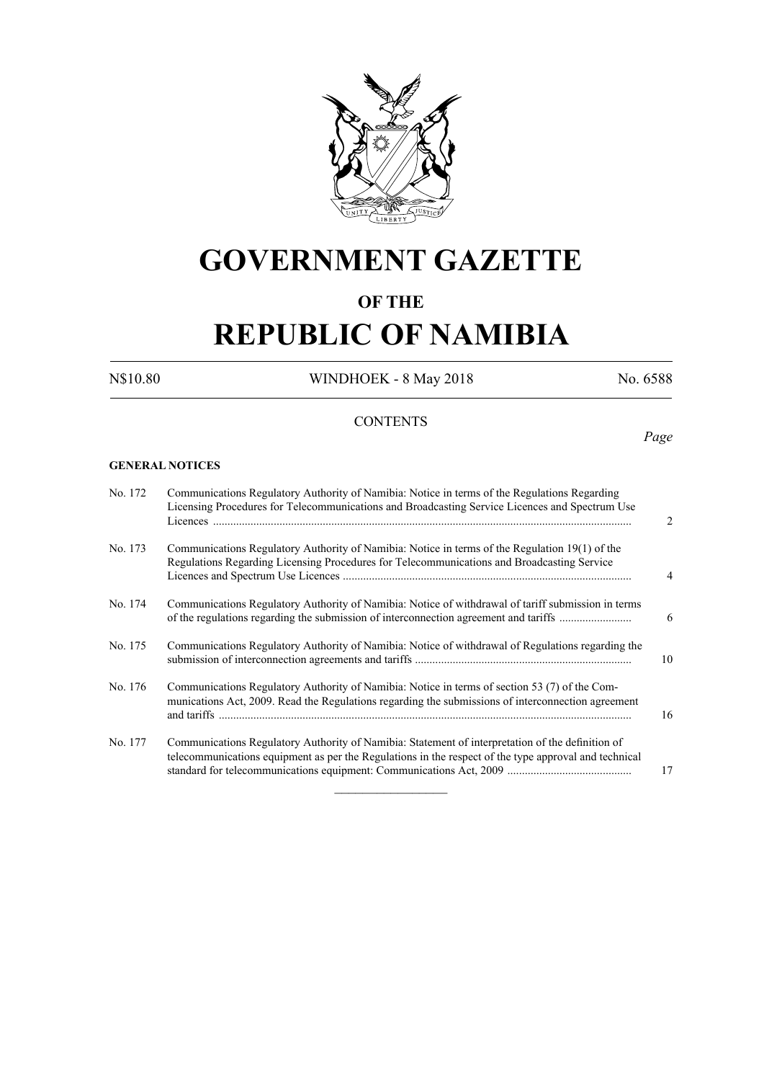

# **GOVERNMENT GAZETTE**

# **OF THE**

# **REPUBLIC OF NAMIBIA**

N\$10.80 WINDHOEK - 8 May 2018 No. 6588

*Page*

# **CONTENTS**

#### **GENERAL NOTICES**

| Communications Regulatory Authority of Namibia: Notice in terms of the Regulations Regarding<br>Licensing Procedures for Telecommunications and Broadcasting Service Licences and Spectrum Use            | $\overline{2}$ |
|-----------------------------------------------------------------------------------------------------------------------------------------------------------------------------------------------------------|----------------|
| Communications Regulatory Authority of Namibia: Notice in terms of the Regulation 19(1) of the<br>Regulations Regarding Licensing Procedures for Telecommunications and Broadcasting Service              | 4              |
| Communications Regulatory Authority of Namibia: Notice of withdrawal of tariff submission in terms<br>of the regulations regarding the submission of interconnection agreement and tariffs                | 6              |
| Communications Regulatory Authority of Namibia: Notice of withdrawal of Regulations regarding the                                                                                                         | 10             |
| Communications Regulatory Authority of Namibia: Notice in terms of section 53 (7) of the Com-<br>munications Act, 2009. Read the Regulations regarding the submissions of interconnection agreement       | 16             |
| Communications Regulatory Authority of Namibia: Statement of interpretation of the definition of<br>telecommunications equipment as per the Regulations in the respect of the type approval and technical | 17             |
|                                                                                                                                                                                                           |                |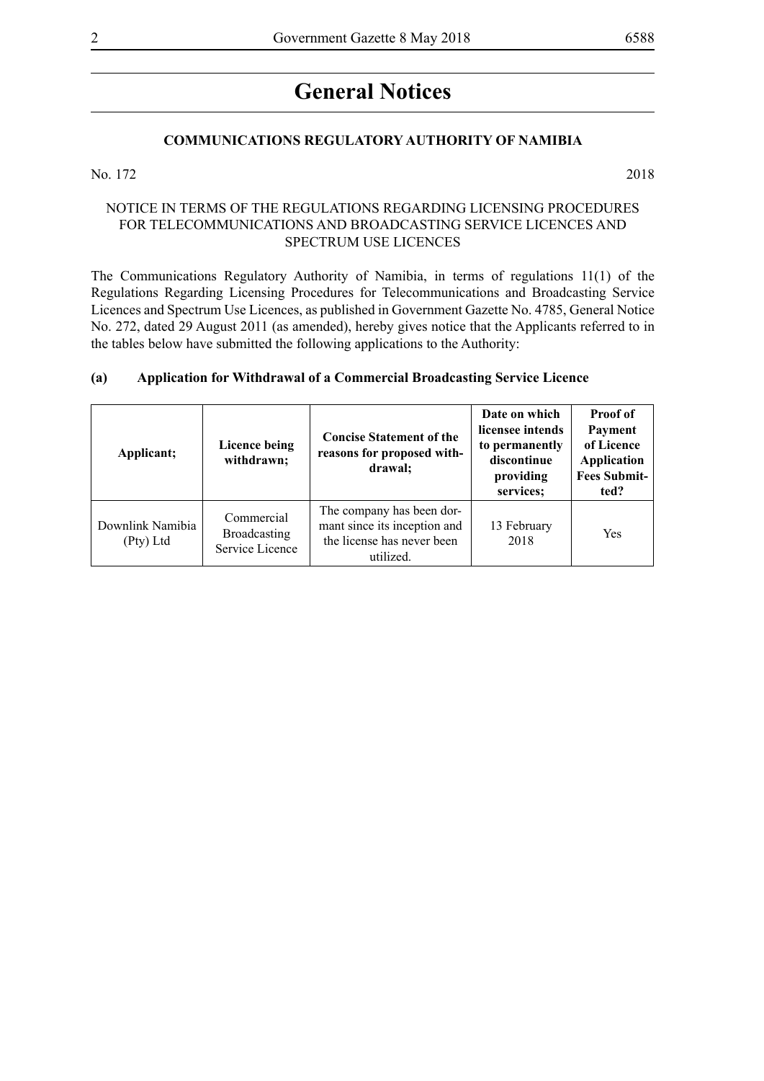# **General Notices**

#### **COMMUNICATIONS REGULATORY AUTHORITY OF NAMIBIA**

No. 172 2018

#### NOTICE IN TERMS OF THE REGULATIONS REGARDING LICENSING PROCEDURES FOR TELECOMMUNICATIONS AND BROADCASTING SERVICE LICENCES AND SPECTRUM USE LICENCES

The Communications Regulatory Authority of Namibia, in terms of regulations 11(1) of the Regulations Regarding Licensing Procedures for Telecommunications and Broadcasting Service Licences and Spectrum Use Licences, as published in Government Gazette No. 4785, General Notice No. 272, dated 29 August 2011 (as amended), hereby gives notice that the Applicants referred to in the tables below have submitted the following applications to the Authority:

#### **(a) Application for Withdrawal of a Commercial Broadcasting Service Licence**

| Applicant;                    | Licence being<br>withdrawn;                          | <b>Concise Statement of the</b><br>reasons for proposed with-<br>drawal;                             | Date on which<br>licensee intends<br>to permanently<br>discontinue<br>providing<br>services; | <b>Proof of</b><br>Payment<br>of Licence<br>Application<br><b>Fees Submit-</b><br>ted? |
|-------------------------------|------------------------------------------------------|------------------------------------------------------------------------------------------------------|----------------------------------------------------------------------------------------------|----------------------------------------------------------------------------------------|
| Downlink Namibia<br>(Pty) Ltd | Commercial<br><b>Broadcasting</b><br>Service Licence | The company has been dor-<br>mant since its inception and<br>the license has never been<br>utilized. | 13 February<br>2018                                                                          | Yes                                                                                    |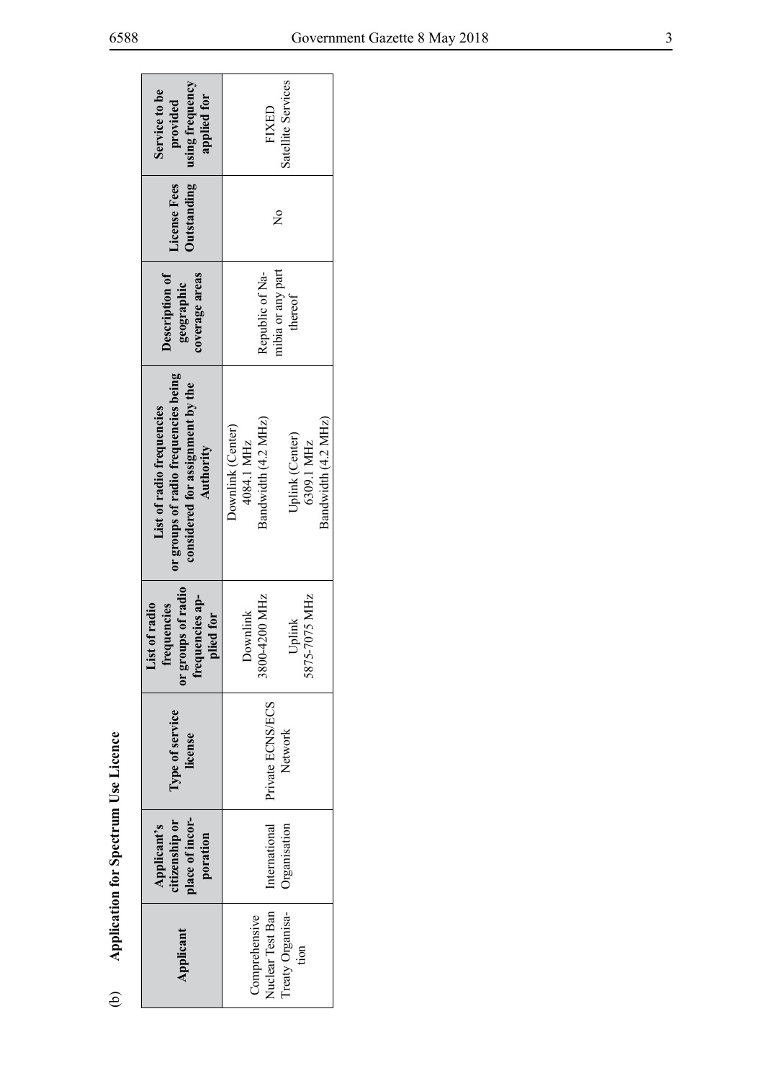| using frequency<br>Service to be<br>applied for<br>provided                                                        | Satellite Services<br>FIXED                                                                                    |  |  |  |  |  |
|--------------------------------------------------------------------------------------------------------------------|----------------------------------------------------------------------------------------------------------------|--|--|--|--|--|
| <b>Outstanding</b><br>License Fees                                                                                 | $\tilde{\mathsf{z}}$                                                                                           |  |  |  |  |  |
| coverage areas<br>Description of<br>geographic                                                                     | mibia or any part<br>Republic of Na-<br>thereof                                                                |  |  |  |  |  |
| or groups of radio frequencies being<br>considered for assignment by the<br>List of radio frequencies<br>Authority | Bandwidth (4.2 MHz)<br>Bandwidth (4.2 MHz)<br>Downlink (Center)<br>Uplink (Center)<br>6309.1 MHz<br>4084.1 MHz |  |  |  |  |  |
| or groups of radio<br>frequencies ap-<br>of radio<br>frequencies<br>lied for<br>ist                                | 8800-4200 MHz<br>5875-7075 MHz<br>Downlink<br>Jplink                                                           |  |  |  |  |  |
| Type of service<br>license                                                                                         | Private ECNS/ECS<br>Network                                                                                    |  |  |  |  |  |
| place of incor-<br>Applicant's<br>citizenship or<br>poration                                                       | Organisation<br>International                                                                                  |  |  |  |  |  |
| Applicant                                                                                                          | Nuclear Test Ban<br>Treaty Organisa-<br>Comprehensive<br>tion                                                  |  |  |  |  |  |

Application for Spectrum Use Licence (b) **Application for Spectrum Use Licence**   $\Theta$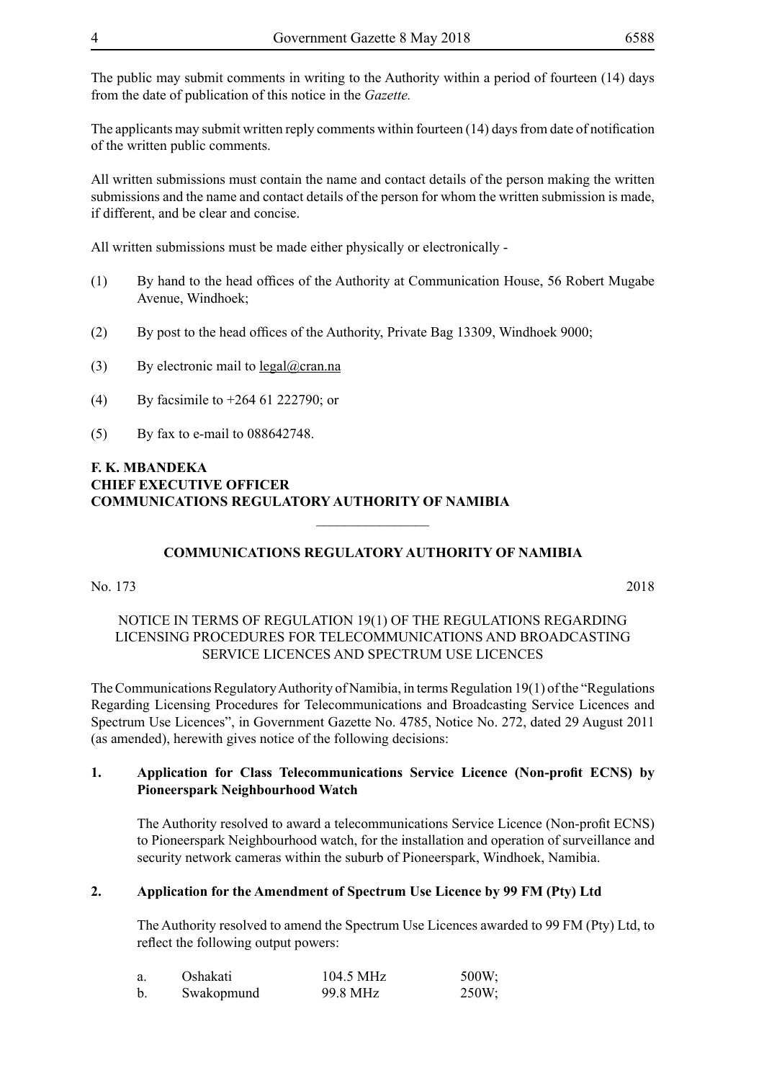The public may submit comments in writing to the Authority within a period of fourteen (14) days from the date of publication of this notice in the *Gazette.* 

The applicants may submit written reply comments within fourteen (14) days from date of notification of the written public comments.

All written submissions must contain the name and contact details of the person making the written submissions and the name and contact details of the person for whom the written submission is made, if different, and be clear and concise.

All written submissions must be made either physically or electronically -

- (1) By hand to the head offices of the Authority at Communication House, 56 Robert Mugabe Avenue, Windhoek;
- (2) By post to the head offices of the Authority, Private Bag 13309, Windhoek 9000;
- (3) By electronic mail to  $\text{legal@cran.na}$
- (4) By facsimile to +264 61 222790; or
- (5) By fax to e-mail to 088642748.

#### **F. K. MBANDEKA CHIEF EXECUTIVE OFFICER COMMUNICATIONS REGULATORY AUTHORITY OF NAMIBIA**

### **COMMUNICATIONS REGULATORY AUTHORITY OF NAMIBIA**

 $\overline{\phantom{a}}$  , where  $\overline{\phantom{a}}$ 

No. 173 2018

#### NOTICE IN TERMS OF REGULATION 19(1) OF THE REGULATIONS REGARDING LICENSING PROCEDURES FOR TELECOMMUNICATIONS AND BROADCASTING SERVICE LICENCES AND SPECTRUM USE LICENCES

The Communications Regulatory Authority of Namibia, in terms Regulation 19(1) of the "Regulations Regarding Licensing Procedures for Telecommunications and Broadcasting Service Licences and Spectrum Use Licences", in Government Gazette No. 4785, Notice No. 272, dated 29 August 2011 (as amended), herewith gives notice of the following decisions:

#### **1. Application for Class Telecommunications Service Licence (Non-profit ECNS) by Pioneerspark Neighbourhood Watch**

The Authority resolved to award a telecommunications Service Licence (Non-profit ECNS) to Pioneerspark Neighbourhood watch, for the installation and operation of surveillance and security network cameras within the suburb of Pioneerspark, Windhoek, Namibia.

#### **2. Application for the Amendment of Spectrum Use Licence by 99 FM (Pty) Ltd**

The Authority resolved to amend the Spectrum Use Licences awarded to 99 FM (Pty) Ltd, to reflect the following output powers:

| Oshakati   | 104.5 MHz | $500W$ ; |
|------------|-----------|----------|
| Swakopmund | 99.8 MHz  | $250W$ ; |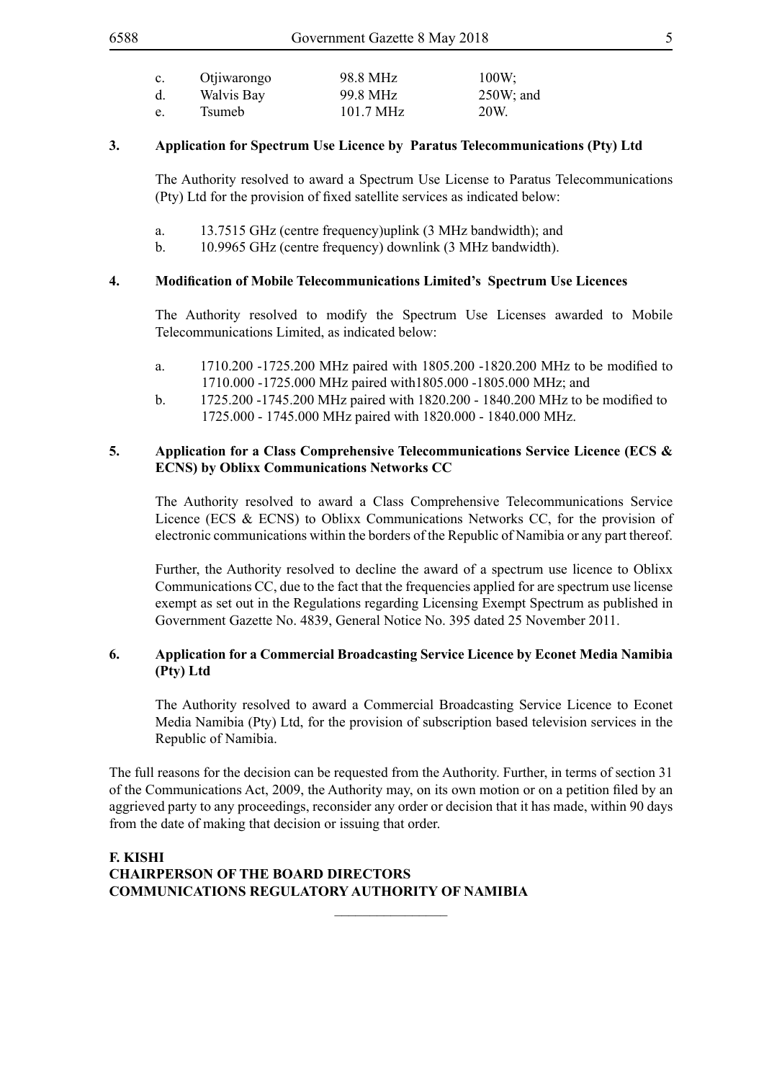| $\mathbf{c}$ . | Otjiwarongo | 98.8 MHz  | $100W$ ;     |
|----------------|-------------|-----------|--------------|
| d.             | Walvis Bay  | 99.8 MHz  | $250W$ ; and |
| e.             | Tsumeb      | 101.7 MHz | 20W.         |

#### **3. Application for Spectrum Use Licence by Paratus Telecommunications (Pty) Ltd**

The Authority resolved to award a Spectrum Use License to Paratus Telecommunications (Pty) Ltd for the provision of fixed satellite services as indicated below:

- a. 13.7515 GHz (centre frequency)uplink (3 MHz bandwidth); and
- b. 10.9965 GHz (centre frequency) downlink (3 MHz bandwidth).

#### **4. Modification of Mobile Telecommunications Limited's Spectrum Use Licences**

The Authority resolved to modify the Spectrum Use Licenses awarded to Mobile Telecommunications Limited, as indicated below:

- a. 1710.200 -1725.200 MHz paired with 1805.200 -1820.200 MHz to be modified to 1710.000 -1725.000 MHz paired with1805.000 -1805.000 MHz; and
- b. 1725.200 -1745.200 MHz paired with 1820.200 1840.200 MHz to be modified to 1725.000 - 1745.000 MHz paired with 1820.000 - 1840.000 MHz.

#### **5. Application for a Class Comprehensive Telecommunications Service Licence (ECS & ECNS) by Oblixx Communications Networks CC**

The Authority resolved to award a Class Comprehensive Telecommunications Service Licence (ECS & ECNS) to Oblixx Communications Networks CC, for the provision of electronic communications within the borders of the Republic of Namibia or any part thereof.

Further, the Authority resolved to decline the award of a spectrum use licence to Oblixx Communications CC, due to the fact that the frequencies applied for are spectrum use license exempt as set out in the Regulations regarding Licensing Exempt Spectrum as published in Government Gazette No. 4839, General Notice No. 395 dated 25 November 2011.

### **6. Application for a Commercial Broadcasting Service Licence by Econet Media Namibia (Pty) Ltd**

The Authority resolved to award a Commercial Broadcasting Service Licence to Econet Media Namibia (Pty) Ltd, for the provision of subscription based television services in the Republic of Namibia.

The full reasons for the decision can be requested from the Authority. Further, in terms of section 31 of the Communications Act, 2009, the Authority may, on its own motion or on a petition filed by an aggrieved party to any proceedings, reconsider any order or decision that it has made, within 90 days from the date of making that decision or issuing that order.

 $\overline{\phantom{a}}$  , where  $\overline{\phantom{a}}$ 

#### **F. KISHI CHAIRPERSON OF THE BOARD DIRECTORS COMMUNICATIONS REGULATORY AUTHORITY OF NAMIBIA**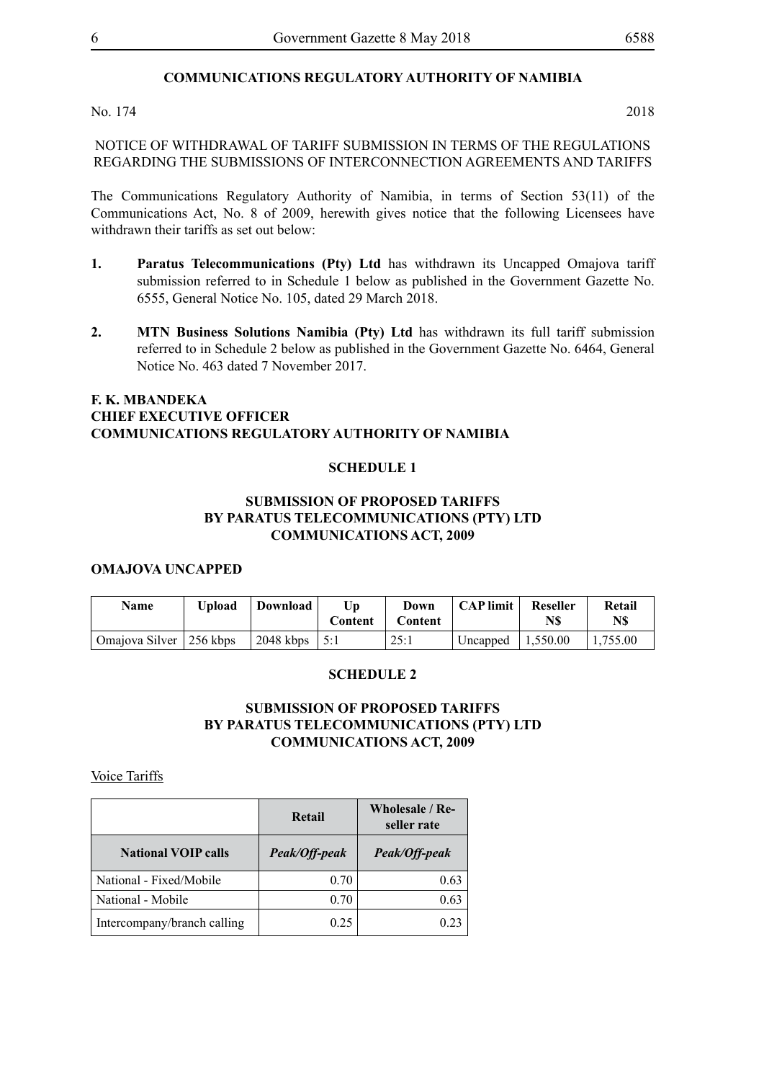# **COMMUNICATIONS REGULATORY AUTHORITY OF NAMIBIA**

No. 174 2018

NOTICE OF WITHDRAWAL OF TARIFF SUBMISSION IN TERMS OF THE REGULATIONS REGARDING THE SUBMISSIONS OF INTERCONNECTION AGREEMENTS AND TARIFFS

The Communications Regulatory Authority of Namibia, in terms of Section 53(11) of the Communications Act, No. 8 of 2009, herewith gives notice that the following Licensees have withdrawn their tariffs as set out below:

- **1. Paratus Telecommunications (Pty) Ltd** has withdrawn its Uncapped Omajova tariff submission referred to in Schedule 1 below as published in the Government Gazette No. 6555, General Notice No. 105, dated 29 March 2018.
- **2. MTN Business Solutions Namibia (Pty) Ltd** has withdrawn its full tariff submission referred to in Schedule 2 below as published in the Government Gazette No. 6464, General Notice No. 463 dated 7 November 2017.

#### **F. K. MBANDEKA CHIEF EXECUTIVE OFFICER COMMUNICATIONS REGULATORY AUTHORITY OF NAMIBIA**

#### **SCHEDULE 1**

#### **SUBMISSION OF PROPOSED TARIFFS BY PARATUS TELECOMMUNICATIONS (PTY) LTD COMMUNICATIONS ACT, 2009**

#### **OMAJOVA UNCAPPED**

| <b>Name</b>               | Upload | Download              | Up<br>Content | Down<br>Content | <b>CAP</b> limit     | Reseller<br>N\$ | Retail<br>N\$ |
|---------------------------|--------|-----------------------|---------------|-----------------|----------------------|-----------------|---------------|
| Omajova Silver   256 kbps |        | $2048$ kbps $\pm 5:1$ |               | 25:1            | Uncapped $ 1,550.00$ |                 | 1.755.00      |

#### **SCHEDULE 2**

### **SUBMISSION OF PROPOSED TARIFFS BY PARATUS TELECOMMUNICATIONS (PTY) LTD COMMUNICATIONS ACT, 2009**

Voice Tariffs

|                             | Retail        | Wholesale / Re-<br>seller rate |
|-----------------------------|---------------|--------------------------------|
| <b>National VOIP calls</b>  | Peak/Off-peak | Peak/Off-peak                  |
| National - Fixed/Mobile     | 0.70          | 0.63                           |
| National - Mobile           | 0.70          | 0.63                           |
| Intercompany/branch calling | 0.25          | 0.23                           |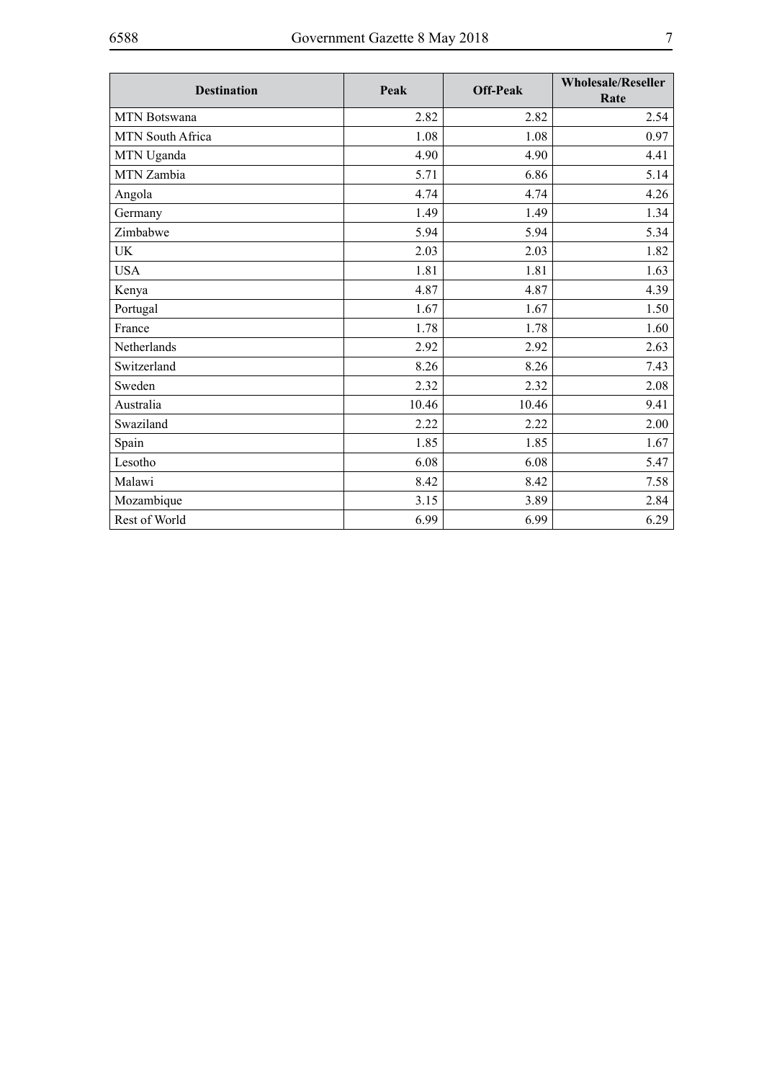| <b>Destination</b>  | Peak  | <b>Off-Peak</b> | <b>Wholesale/Reseller</b><br>Rate |
|---------------------|-------|-----------------|-----------------------------------|
| <b>MTN</b> Botswana | 2.82  | 2.82            | 2.54                              |
| MTN South Africa    | 1.08  | 1.08            | 0.97                              |
| MTN Uganda          | 4.90  | 4.90            | 4.41                              |
| MTN Zambia          | 5.71  | 6.86            | 5.14                              |
| Angola              | 4.74  | 4.74            | 4.26                              |
| Germany             | 1.49  | 1.49            | 1.34                              |
| Zimbabwe            | 5.94  | 5.94            | 5.34                              |
| UK                  | 2.03  | 2.03            | 1.82                              |
| <b>USA</b>          | 1.81  | 1.81            | 1.63                              |
| Kenya               | 4.87  | 4.87            | 4.39                              |
| Portugal            | 1.67  | 1.67            | 1.50                              |
| France              | 1.78  | 1.78            | 1.60                              |
| Netherlands         | 2.92  | 2.92            | 2.63                              |
| Switzerland         | 8.26  | 8.26            | 7.43                              |
| Sweden              | 2.32  | 2.32            | 2.08                              |
| Australia           | 10.46 | 10.46           | 9.41                              |
| Swaziland           | 2.22  | 2.22            | 2.00                              |
| Spain               | 1.85  | 1.85            | 1.67                              |
| Lesotho             | 6.08  | 6.08            | 5.47                              |
| Malawi              | 8.42  | 8.42            | 7.58                              |
| Mozambique          | 3.15  | 3.89            | 2.84                              |
| Rest of World       | 6.99  | 6.99            | 6.29                              |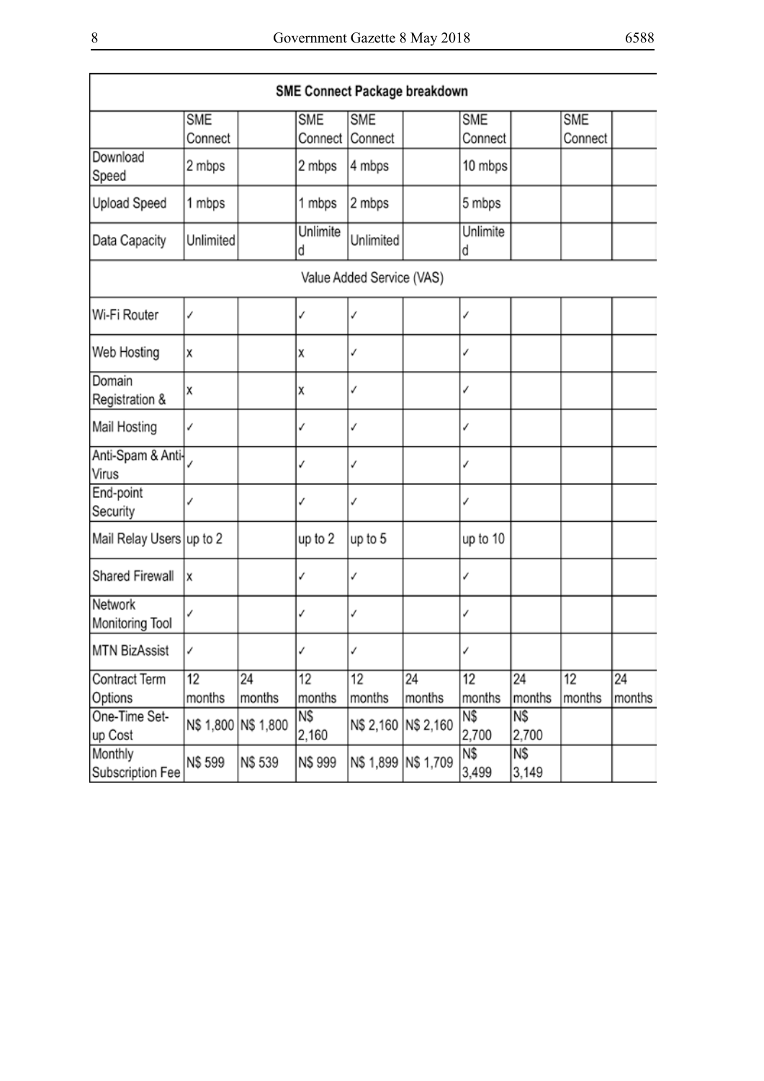| SME Connect Package breakdown |                       |                     |                       |                           |        |                       |              |                       |        |
|-------------------------------|-----------------------|---------------------|-----------------------|---------------------------|--------|-----------------------|--------------|-----------------------|--------|
|                               | <b>SME</b><br>Connect |                     | <b>SME</b><br>Connect | <b>SME</b><br>Connect     |        | <b>SME</b><br>Connect |              | <b>SME</b><br>Connect |        |
| Download<br>Speed             | 2 mbps                |                     | 2 mbps                | 4 mbps                    |        | 10 mbps               |              |                       |        |
| Upload Speed                  | 1 mbps                |                     | 1 mbps                | 2 mbps                    |        | 5 mbps                |              |                       |        |
| Data Capacity                 | Unlimited             |                     | Unlimite<br>d         | Unlimited                 |        | Unlimite<br>d         |              |                       |        |
|                               |                       |                     |                       | Value Added Service (VAS) |        |                       |              |                       |        |
| Wi-Fi Router                  | ✓                     |                     | ✓                     | ✓                         |        | ✓                     |              |                       |        |
| Web Hosting                   | χ                     |                     | х                     | ✓                         |        | ✓                     |              |                       |        |
| Domain<br>Registration &      | Χ                     |                     | х                     | √                         |        | ✓                     |              |                       |        |
| Mail Hosting                  | √                     |                     | √                     | √                         |        | ✓                     |              |                       |        |
| Anti-Spam & Anti-<br>Virus    |                       |                     | ✓                     | √                         |        | ✓                     |              |                       |        |
| End-point<br>Security         | ✓                     |                     | ✓                     | √                         |        | √                     |              |                       |        |
| Mail Relay Users up to 2      |                       |                     | up to 2               | up to 5                   |        | up to 10              |              |                       |        |
| Shared Firewall               | X                     |                     | ✓                     | ✓                         |        | ✓                     |              |                       |        |
| Network<br>Monitoring Tool    | ✓                     |                     | ✓                     | √                         |        | ✓                     |              |                       |        |
| MTN BizAssist                 | √                     |                     | √                     | ✓                         |        | ✓                     |              |                       |        |
| Contract Term                 | 12                    | 24                  | 12                    | 12                        | 24     | 12                    | 24           | 12                    | 24     |
| Options                       | months                | months              | months                | months                    | months | months                | months       | months                | months |
| One-Time Set-<br>up Cost      |                       | N\$ 1,800 N\$ 1,800 | N\$<br>2,160          | N\$ 2,160 N\$ 2,160       |        | N\$<br>2,700          | N\$<br>2,700 |                       |        |
| Monthly<br>Subscription Fee   | N\$ 599               | <b>NS 539</b>       | N\$ 999               | N\$ 1,899 N\$ 1,709       |        | Ν\$<br>3,499          | N\$<br>3,149 |                       |        |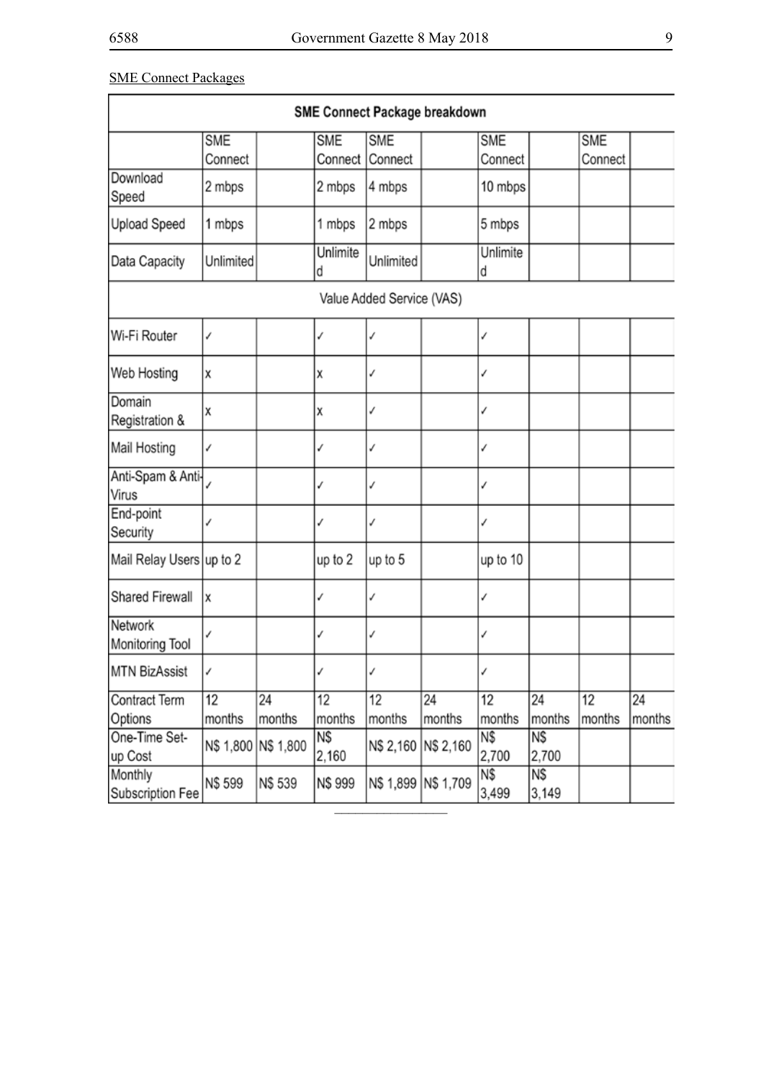# SME Connect Packages

| SME Connect Package breakdown |                       |                     |                       |                           |              |                       |              |                       |              |
|-------------------------------|-----------------------|---------------------|-----------------------|---------------------------|--------------|-----------------------|--------------|-----------------------|--------------|
|                               | <b>SME</b><br>Connect |                     | <b>SME</b><br>Connect | <b>SME</b><br>Connect     |              | <b>SME</b><br>Connect |              | <b>SME</b><br>Connect |              |
| Download<br>Speed             | 2 mbps                |                     | 2 mbps                | 4 mbps                    |              | 10 mbps               |              |                       |              |
| Upload Speed                  | 1 mbps                |                     | 1 mbps                | 2 mbps                    |              | 5 mbps                |              |                       |              |
| Data Capacity                 | Unlimited             |                     | Unlimite<br>d         | Unlimited                 |              | Unlimite<br>d         |              |                       |              |
|                               |                       |                     |                       | Value Added Service (VAS) |              |                       |              |                       |              |
| Wi-Fi Router                  | ✓                     |                     | ∕                     | ✓                         |              | ✓                     |              |                       |              |
| Web Hosting                   | χ                     |                     | x                     | ✓                         |              | ✓                     |              |                       |              |
| Domain<br>Registration &      | Χ                     |                     | x                     | √                         |              |                       |              |                       |              |
| Mail Hosting                  | ✓                     |                     | ✓                     | ✓                         |              | ✓                     |              |                       |              |
| Anti-Spam & Anti-<br>Virus    |                       |                     |                       | ✓                         |              | ✓                     |              |                       |              |
| End-point<br>Security         | ✓                     |                     | ✓                     | ✓                         |              | ✓                     |              |                       |              |
| Mail Relay Users up to 2      |                       |                     | up to 2               | up to 5                   |              | up to 10              |              |                       |              |
| Shared Firewall               | χ                     |                     | ✓                     | ✓                         |              | ✓                     |              |                       |              |
| Network<br>Monitoring Tool    | ✓                     |                     | ✓                     | ✓                         |              | ✓                     |              |                       |              |
| MTN BizAssist                 | ✓                     |                     | ✓                     | ✓                         |              | ✓                     |              |                       |              |
| Contract Term<br>Options      | 12<br>months          | 24<br>months        | 12<br>months          | 12<br>months              | 24<br>months | 12<br>months          | 24<br>months | 12<br>months          | 24<br>months |
| One-Time Set-<br>up Cost      |                       | N\$ 1,800 N\$ 1,800 | N\$<br>2,160          | N\$ 2,160 N\$ 2,160       |              | N\$<br>2,700          | N\$<br>2,700 |                       |              |
| Monthly<br>Subscription Fee   | N\$ 599               | N\$ 539             | N\$ 999               | N\$ 1,899 N\$ 1,709       |              | N\$<br>3,499          | N\$<br>3,149 |                       |              |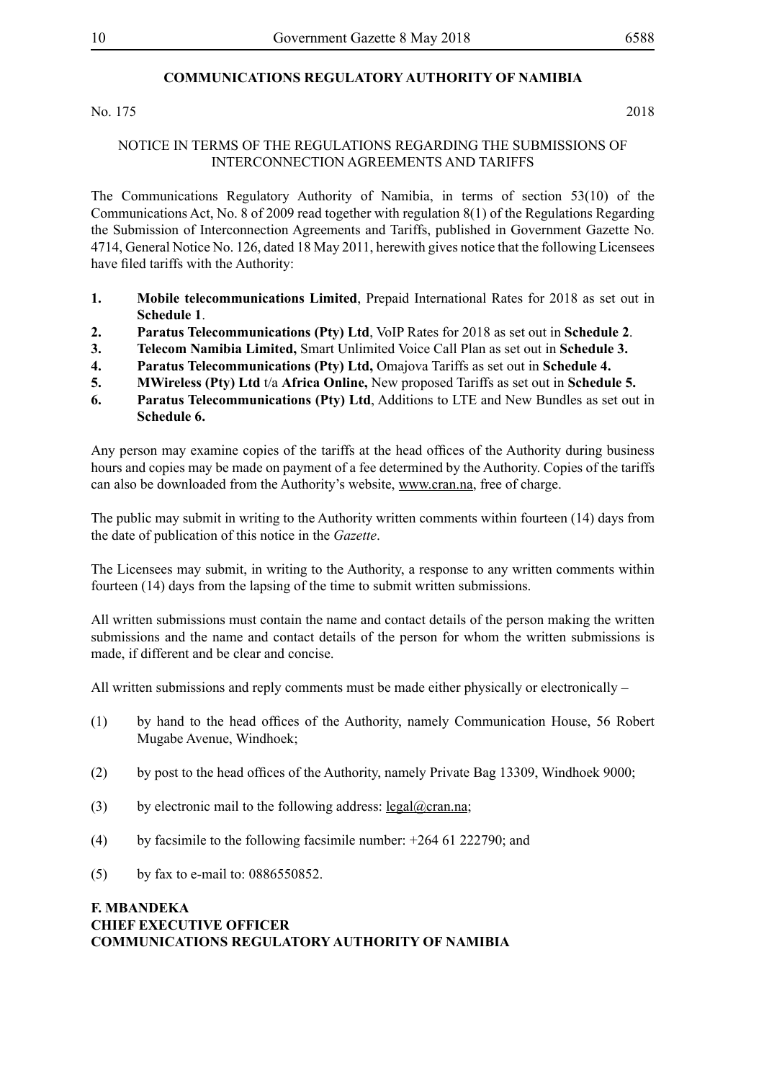# **COMMUNICATIONS REGULATORY AUTHORITY OF NAMIBIA**

No. 175 2018

#### NOTICE IN TERMS OF THE REGULATIONS REGARDING THE SUBMISSIONS OF INTERCONNECTION AGREEMENTS AND TARIFFS

The Communications Regulatory Authority of Namibia, in terms of section 53(10) of the Communications Act, No. 8 of 2009 read together with regulation 8(1) of the Regulations Regarding the Submission of Interconnection Agreements and Tariffs, published in Government Gazette No. 4714, General Notice No. 126, dated 18 May 2011, herewith gives notice that the following Licensees have filed tariffs with the Authority:

- **1. Mobile telecommunications Limited**, Prepaid International Rates for 2018 as set out in **Schedule 1**.
- **2. Paratus Telecommunications (Pty) Ltd**, VoIP Rates for 2018 as set out in **Schedule 2**.
- **3. Telecom Namibia Limited,** Smart Unlimited Voice Call Plan as set out in **Schedule 3.**
- **4. Paratus Telecommunications (Pty) Ltd,** Omajova Tariffs as set out in **Schedule 4.**
- **5. MWireless (Pty) Ltd** t/a **Africa Online,** New proposed Tariffs as set out in **Schedule 5.**
- **6. Paratus Telecommunications (Pty) Ltd**, Additions to LTE and New Bundles as set out in **Schedule 6.**

Any person may examine copies of the tariffs at the head offices of the Authority during business hours and copies may be made on payment of a fee determined by the Authority. Copies of the tariffs can also be downloaded from the Authority's website, www.cran.na, free of charge.

The public may submit in writing to the Authority written comments within fourteen (14) days from the date of publication of this notice in the *Gazette*.

The Licensees may submit, in writing to the Authority, a response to any written comments within fourteen (14) days from the lapsing of the time to submit written submissions.

All written submissions must contain the name and contact details of the person making the written submissions and the name and contact details of the person for whom the written submissions is made, if different and be clear and concise.

All written submissions and reply comments must be made either physically or electronically –

- (1) by hand to the head offices of the Authority, namely Communication House, 56 Robert Mugabe Avenue, Windhoek;
- (2) by post to the head offices of the Authority, namely Private Bag 13309, Windhoek 9000;
- (3) by electronic mail to the following address:  $\text{legal}(\partial)$  cran.na;
- (4) by facsimile to the following facsimile number: +264 61 222790; and
- (5) by fax to e-mail to: 0886550852.

### **F. MBANDEKA CHIEF EXECUTIVE OFFICER COMMUNICATIONS REGULATORY AUTHORITY OF NAMIBIA**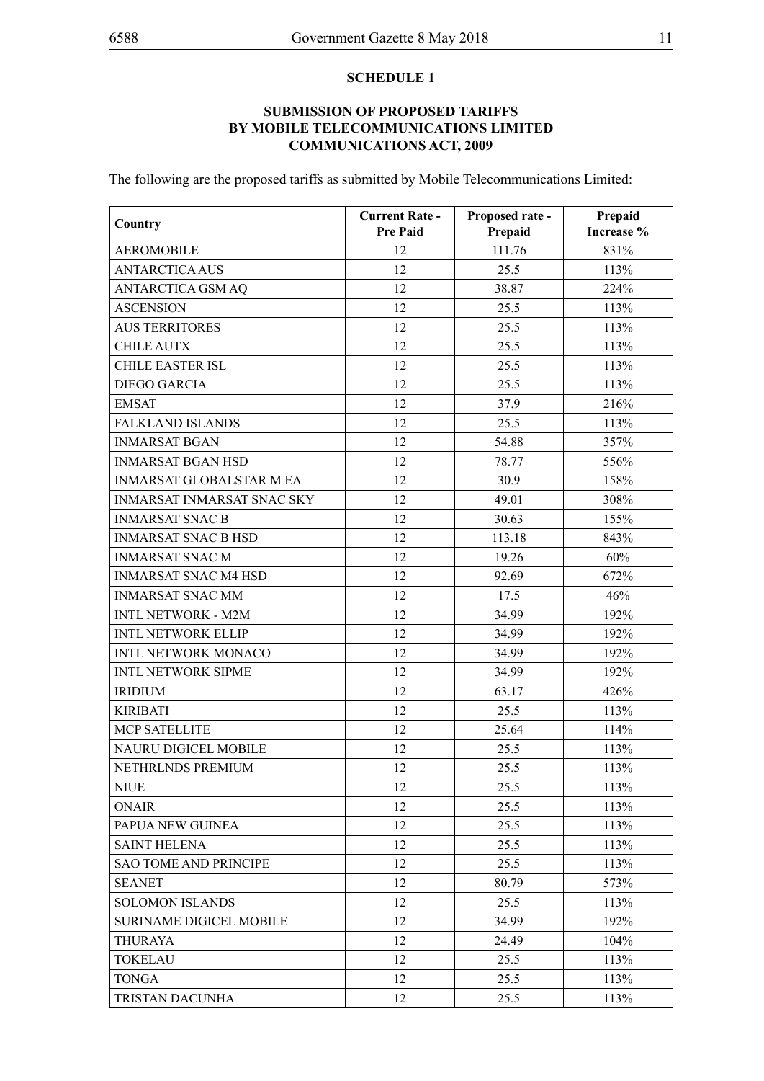#### **SCHEDULE 1**

# **SUBMISSION OF PROPOSED TARIFFS BY MOBILE TELECOMMUNICATIONS LIMITED COMMUNICATIONS ACT, 2009**

The following are the proposed tariffs as submitted by Mobile Telecommunications Limited:

| Country                           | <b>Current Rate -</b><br><b>Pre Paid</b> | Proposed rate -<br>Prepaid | Prepaid<br>Increase % |
|-----------------------------------|------------------------------------------|----------------------------|-----------------------|
| <b>AEROMOBILE</b>                 | 12                                       | 111.76                     | 831%                  |
| <b>ANTARCTICA AUS</b>             | 12                                       | 25.5                       | 113%                  |
| ANTARCTICA GSM AQ                 | 12                                       | 38.87                      | 224%                  |
| <b>ASCENSION</b>                  | 12                                       | 25.5                       | 113%                  |
| <b>AUS TERRITORES</b>             | 12                                       | 25.5                       | 113%                  |
| <b>CHILE AUTX</b>                 | 12                                       | 25.5                       | 113%                  |
| <b>CHILE EASTER ISL</b>           | 12                                       | 25.5                       | 113%                  |
| <b>DIEGO GARCIA</b>               | 12                                       | 25.5                       | 113%                  |
| <b>EMSAT</b>                      | 12                                       | 37.9                       | 216%                  |
| <b>FALKLAND ISLANDS</b>           | 12                                       | 25.5                       | 113%                  |
| <b>INMARSAT BGAN</b>              | 12                                       | 54.88                      | 357%                  |
| <b>INMARSAT BGAN HSD</b>          | 12                                       | 78.77                      | 556%                  |
| <b>INMARSAT GLOBALSTAR M EA</b>   | 12                                       | 30.9                       | 158%                  |
| <b>INMARSAT INMARSAT SNAC SKY</b> | 12                                       | 49.01                      | 308%                  |
| <b>INMARSAT SNAC B</b>            | 12                                       | 30.63                      | 155%                  |
| <b>INMARSAT SNAC B HSD</b>        | 12                                       | 113.18                     | 843%                  |
| <b>INMARSAT SNAC M</b>            | 12                                       | 19.26                      | 60%                   |
| <b>INMARSAT SNAC M4 HSD</b>       | 12                                       | 92.69                      | 672%                  |
| <b>INMARSAT SNAC MM</b>           | 12                                       | 17.5                       | 46%                   |
| <b>INTL NETWORK - M2M</b>         | 12                                       | 34.99                      | 192%                  |
| <b>INTL NETWORK ELLIP</b>         | 12                                       | 34.99                      | 192%                  |
| <b>INTL NETWORK MONACO</b>        | 12                                       | 34.99                      | 192%                  |
| <b>INTL NETWORK SIPME</b>         | 12                                       | 34.99                      | 192%                  |
| <b>IRIDIUM</b>                    | 12                                       | 63.17                      | 426%                  |
| <b>KIRIBATI</b>                   | 12                                       | 25.5                       | 113%                  |
| <b>MCP SATELLITE</b>              | 12                                       | 25.64                      | 114%                  |
| <b>NAURU DIGICEL MOBILE</b>       | 12                                       | 25.5                       | 113%                  |
| NETHRLNDS PREMIUM                 | 12                                       | 25.5                       | 113%                  |
| <b>NIUE</b>                       | 12                                       | 25.5                       | 113%                  |
| <b>ONAIR</b>                      | 12                                       | 25.5                       | 113%                  |
| PAPUA NEW GUINEA                  | 12                                       | 25.5                       | 113%                  |
| <b>SAINT HELENA</b>               | 12                                       | 25.5                       | 113%                  |
| <b>SAO TOME AND PRINCIPE</b>      | 12                                       | 25.5                       | 113%                  |
| <b>SEANET</b>                     | 12                                       | 80.79                      | 573%                  |
| <b>SOLOMON ISLANDS</b>            | 12                                       | 25.5                       | 113%                  |
| <b>SURINAME DIGICEL MOBILE</b>    | 12                                       | 34.99                      | 192%                  |
| <b>THURAYA</b>                    | 12                                       | 24.49                      | 104%                  |
| <b>TOKELAU</b>                    | 12                                       | 25.5                       | 113%                  |
| <b>TONGA</b>                      | 12                                       | 25.5                       | 113%                  |
| TRISTAN DACUNHA                   | 12                                       | 25.5                       | 113%                  |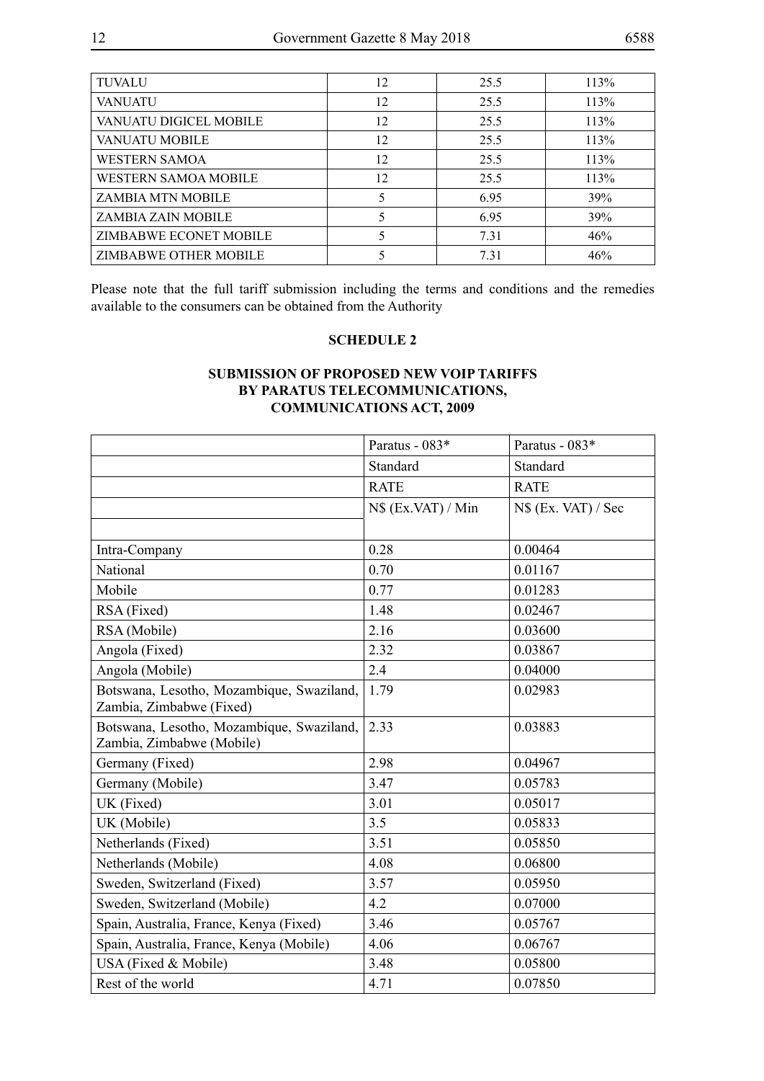| <b>TUVALU</b>               | 12 | 25.5 | 113% |
|-----------------------------|----|------|------|
| <b>VANUATU</b>              | 12 | 25.5 | 113% |
| VANUATU DIGICEL MOBILE      | 12 | 25.5 | 113% |
| <b>VANUATU MOBILE</b>       | 12 | 25.5 | 113% |
| <b>WESTERN SAMOA</b>        | 12 | 25.5 | 113% |
| <b>WESTERN SAMOA MOBILE</b> | 12 | 25.5 | 113% |
| <b>ZAMBIA MTN MOBILE</b>    | 5  | 6.95 | 39%  |
| ZAMBIA ZAIN MOBILE          | 5  | 6.95 | 39%  |
| ZIMBABWE ECONET MOBILE      | 5  | 7.31 | 46%  |
| ZIMBABWE OTHER MOBILE       |    | 7.31 | 46%  |

Please note that the full tariff submission including the terms and conditions and the remedies available to the consumers can be obtained from the Authority

#### **SCHEDULE 2**

# **SUBMISSION OF PROPOSED NEW VOIP TARIFFS BY PARATUS TELECOMMUNICATIONS, COMMUNICATIONS ACT, 2009**

|                                                                        | Paratus - 083*     | Paratus - 083*       |
|------------------------------------------------------------------------|--------------------|----------------------|
|                                                                        | Standard           | Standard             |
|                                                                        | <b>RATE</b>        | <b>RATE</b>          |
|                                                                        | N\$ (Ex.VAT) / Min | $NS$ (Ex. VAT) / Sec |
|                                                                        |                    |                      |
| Intra-Company                                                          | 0.28               | 0.00464              |
| National                                                               | 0.70               | 0.01167              |
| Mobile                                                                 | 0.77               | 0.01283              |
| RSA (Fixed)                                                            | 1.48               | 0.02467              |
| RSA (Mobile)                                                           | 2.16               | 0.03600              |
| Angola (Fixed)                                                         | 2.32               | 0.03867              |
| Angola (Mobile)                                                        | 2.4                | 0.04000              |
| Botswana, Lesotho, Mozambique, Swaziland,<br>Zambia, Zimbabwe (Fixed)  | 1.79               | 0.02983              |
| Botswana, Lesotho, Mozambique, Swaziland,<br>Zambia, Zimbabwe (Mobile) | 2.33               | 0.03883              |
| Germany (Fixed)                                                        | 2.98               | 0.04967              |
| Germany (Mobile)                                                       | 3.47               | 0.05783              |
| UK (Fixed)                                                             | 3.01               | 0.05017              |
| UK (Mobile)                                                            | 3.5                | 0.05833              |
| Netherlands (Fixed)                                                    | 3.51               | 0.05850              |
| Netherlands (Mobile)                                                   | 4.08               | 0.06800              |
| Sweden, Switzerland (Fixed)                                            | 3.57               | 0.05950              |
| Sweden, Switzerland (Mobile)                                           | 4.2                | 0.07000              |
| Spain, Australia, France, Kenya (Fixed)                                | 3.46               | 0.05767              |
| Spain, Australia, France, Kenya (Mobile)                               | 4.06               | 0.06767              |
| USA (Fixed & Mobile)                                                   | 3.48               | 0.05800              |
| Rest of the world                                                      | 4.71               | 0.07850              |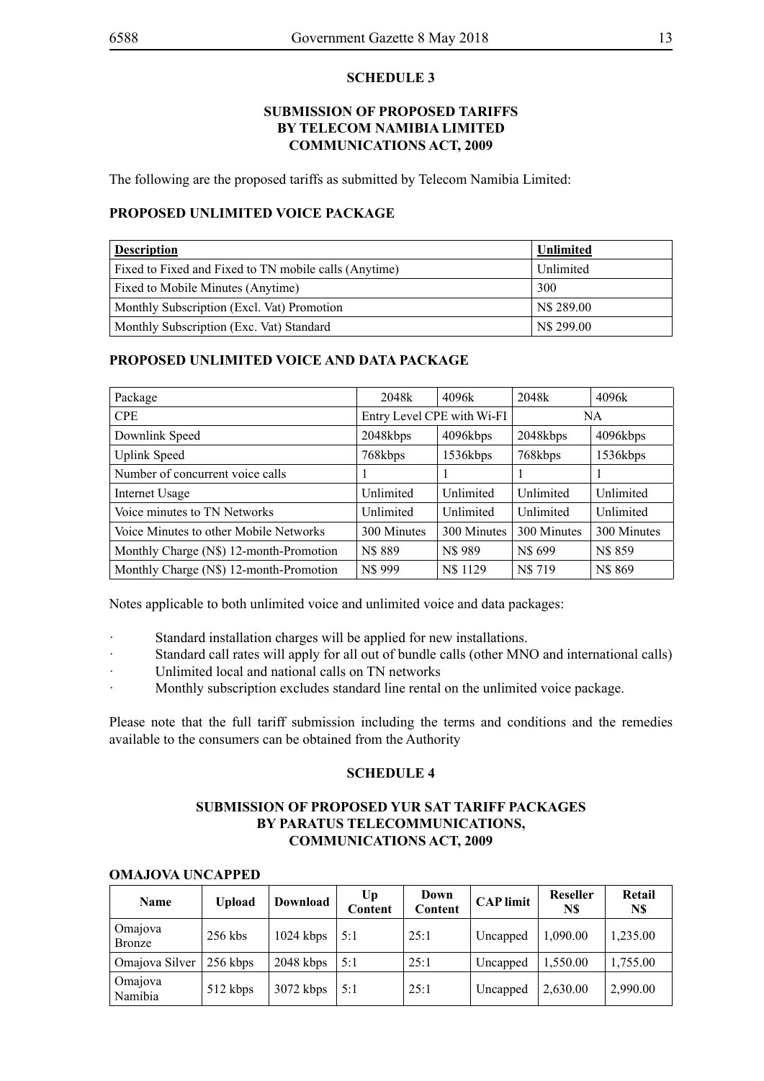#### **SCHEDULE 3**

#### **SUBMISSION OF PROPOSED TARIFFS BY TELECOM NAMIBIA LIMITED COMMUNICATIONS ACT, 2009**

The following are the proposed tariffs as submitted by Telecom Namibia Limited:

#### **PROPOSED UNLIMITED VOICE PACKAGE**

| <b>Description</b>                                    | <b>Unlimited</b> |
|-------------------------------------------------------|------------------|
| Fixed to Fixed and Fixed to TN mobile calls (Anytime) | Unlimited        |
| Fixed to Mobile Minutes (Anytime)                     | 300              |
| Monthly Subscription (Excl. Vat) Promotion            | N\$ 289.00       |
| Monthly Subscription (Exc. Vat) Standard              | N\$ 299.00       |

#### **PROPOSED UNLIMITED VOICE AND DATA PACKAGE**

| Package                                 | 2048k                      | 4096k       | 2048k       | 4096k       |
|-----------------------------------------|----------------------------|-------------|-------------|-------------|
| <b>CPE</b>                              | Entry Level CPE with Wi-FI |             |             | NA.         |
| Downlink Speed                          | 2048kbps                   | 4096kbps    | 2048kbps    | 4096kbps    |
| <b>Uplink Speed</b>                     | 768kbps                    | 1536kbps    | 768kbps     | 1536kbps    |
| Number of concurrent voice calls        |                            |             |             |             |
| Internet Usage                          | Unlimited                  | Unlimited   | Unlimited   | Unlimited   |
| Voice minutes to TN Networks            | Unlimited                  | Unlimited   | Unlimited   | Unlimited   |
| Voice Minutes to other Mobile Networks  | 300 Minutes                | 300 Minutes | 300 Minutes | 300 Minutes |
| Monthly Charge (N\$) 12-month-Promotion | N\$ 889                    | N\$ 989     | N\$ 699     | N\$ 859     |
| Monthly Charge (N\$) 12-month-Promotion | N\$ 999                    | N\$ 1129    | N\$719      | N\$ 869     |

Notes applicable to both unlimited voice and unlimited voice and data packages:

- Standard installation charges will be applied for new installations.
- · Standard call rates will apply for all out of bundle calls (other MNO and international calls)
- Unlimited local and national calls on TN networks
- Monthly subscription excludes standard line rental on the unlimited voice package.

Please note that the full tariff submission including the terms and conditions and the remedies available to the consumers can be obtained from the Authority

#### **SCHEDULE 4**

#### **SUBMISSION OF PROPOSED YUR SAT TARIFF PACKAGES BY PARATUS TELECOMMUNICATIONS, COMMUNICATIONS ACT, 2009**

| <b>Name</b>        | <b>Upload</b> | Download    | Up<br>Content | Down<br>Content | <b>CAP</b> limit | <b>Reseller</b><br>N\$ | Retail<br>N\$ |
|--------------------|---------------|-------------|---------------|-----------------|------------------|------------------------|---------------|
| Omajova<br>Bronze  | $256$ kbs     | $1024$ kbps | 5:1           | 25:1            | Uncapped         | 1,090.00               | 1,235.00      |
| Omajova Silver     | 256 kbps      | $2048$ kbps | 5:1           | 25:1            | Uncapped         | 1,550.00               | 1,755.00      |
| Omajova<br>Namibia | 512 kbps      | 3072 kbps   | 5:1           | 25:1            | Uncapped         | 2,630.00               | 2,990.00      |

#### **OMAJOVA UNCAPPED**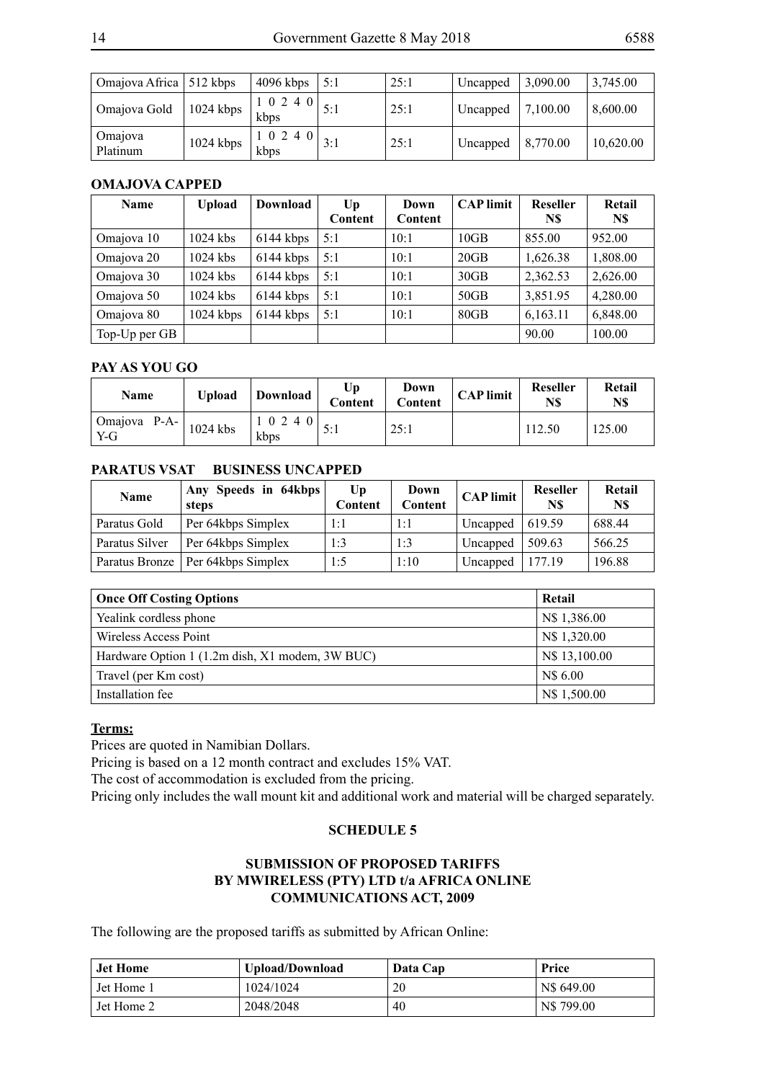| Omajova Africa   512 kbps |           | $4096$ kbps                 | 5:1 | 25:1 | Uncapped | 3,090.00 | 3,745.00  |
|---------------------------|-----------|-----------------------------|-----|------|----------|----------|-----------|
| Omajova Gold              | 1024 kbps | $1 \t0 \t2 \t4 \t0$<br>kbps | 5:1 | 25:1 | Uncapped | 7,100.00 | 8,600.00  |
| Omajova<br>Platinum       | 1024 kbps | 1 0 2 4 0<br>kbps           | 3:1 | 25:1 | Uncapped | 8,770.00 | 10,620.00 |

#### **OMAJOVA CAPPED**

| <b>Name</b>   | <b>Upload</b> | Download  | U <sub>p</sub><br>Content | Down<br>Content | <b>CAP</b> limit | <b>Reseller</b><br>N\$ | Retail<br>N\$ |
|---------------|---------------|-----------|---------------------------|-----------------|------------------|------------------------|---------------|
| Omajova 10    | $1024$ kbs    | 6144 kbps | 5:1                       | 10:1            | 10GB             | 855.00                 | 952.00        |
| Omajova 20    | $1024$ kbs    | 6144 kbps | 5:1                       | 10:1            | 20GB             | 1,626.38               | 1,808.00      |
| Omajova 30    | $1024$ kbs    | 6144 kbps | 5:1                       | 10:1            | 30GB             | 2,362.53               | 2,626.00      |
| Omajova 50    | 1024 kbs      | 6144 kbps | 5:1                       | 10:1            | 50GB             | 3,851.95               | 4,280.00      |
| Omajova 80    | 1024 kbps     | 6144 kbps | 5:1                       | 10:1            | 80GB             | 6,163.11               | 6,848.00      |
| Top-Up per GB |               |           |                           |                 |                  | 90.00                  | 100.00        |

#### **PAY AS YOU GO**

| Name                  | Upload     | Download      | Up<br>Content | Down<br><b>Content</b> | <b>CAP</b> limit | <b>Reseller</b><br>N\$ | Retail<br>N\$ |
|-----------------------|------------|---------------|---------------|------------------------|------------------|------------------------|---------------|
| Omajova P-A-<br>$Y-G$ | $1024$ kbs | 10240<br>kbps |               | 25:1                   |                  | 112.50                 | 125.00        |

# **PARATUS VSAT BUSINESS UNCAPPED**

| <b>Name</b>    | Any Speeds in 64kbps<br>steps       | Up<br>Content | Down<br>Content | <b>CAP</b> limit | <b>Reseller</b><br>N\$ | Retail<br>N\$ |
|----------------|-------------------------------------|---------------|-----------------|------------------|------------------------|---------------|
| Paratus Gold   | Per 64kbps Simplex                  | 1:1           | 1:1             | Uncapped         | 619.59                 | 688.44        |
| Paratus Silver | Per 64kbps Simplex                  | 1:3           | 1:3             | Uncapped         | 509.63                 | 566.25        |
|                | Paratus Bronze   Per 64kbps Simplex | 1:5           | 1:10            | Uncapped         | 177.19                 | 196.88        |

| <b>Once Off Costing Options</b>                 | Retail        |
|-------------------------------------------------|---------------|
| Yealink cordless phone                          | N\$ 1,386.00  |
| Wireless Access Point                           | N\$ 1,320.00  |
| Hardware Option 1 (1.2m dish, X1 modem, 3W BUC) | N\$ 13,100.00 |
| Travel (per Km cost)                            | N\$ 6.00      |
| Installation fee                                | N\$ 1,500.00  |

### **Terms:**

Prices are quoted in Namibian Dollars.

Pricing is based on a 12 month contract and excludes 15% VAT.

The cost of accommodation is excluded from the pricing.

Pricing only includes the wall mount kit and additional work and material will be charged separately.

#### **SCHEDULE 5**

# **SUBMISSION OF PROPOSED TARIFFS BY MWIRELESS (PTY) LTD t/a AFRICA ONLINE COMMUNICATIONS ACT, 2009**

The following are the proposed tariffs as submitted by African Online:

| <b>Jet Home</b>         | Upload/Download | Data Cap | <b>Price</b> |
|-------------------------|-----------------|----------|--------------|
| <sup>1</sup> Jet Home 1 | 1024/1024       | 20       | N\$ 649.00   |
| Jet Home 2              | 2048/2048       | 40       | N\$799.00    |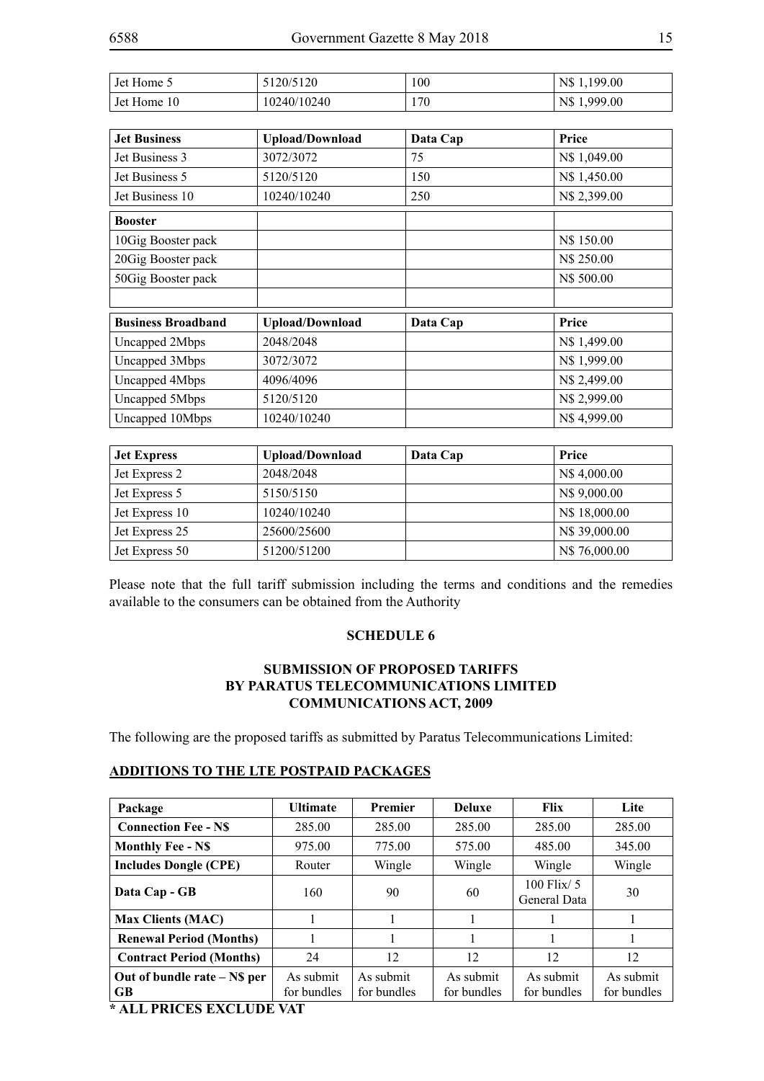| Jet Home 5  | 5120/5120   | 100 | N\$1,199.00 |
|-------------|-------------|-----|-------------|
| Jet Home 10 | 10240/10240 | 170 | N\$1,999.00 |

| <b>Jet Business</b>       | <b>Upload/Download</b> | Data Cap | Price        |
|---------------------------|------------------------|----------|--------------|
| Jet Business 3            | 3072/3072              | 75       | N\$ 1,049.00 |
| Jet Business 5            | 5120/5120              | 150      | N\$ 1,450.00 |
| Jet Business 10           | 10240/10240            | 250      | N\$ 2,399.00 |
| <b>Booster</b>            |                        |          |              |
| 10Gig Booster pack        |                        |          | N\$ 150.00   |
| 20Gig Booster pack        |                        |          | N\$ 250.00   |
| 50Gig Booster pack        |                        |          | N\$ 500.00   |
|                           |                        |          |              |
| <b>Business Broadband</b> | <b>Upload/Download</b> | Data Cap | Price        |
| Uncapped 2Mbps            | 2048/2048              |          | N\$ 1,499.00 |
| Uncapped 3Mbps            | 3072/3072              |          | N\$1,999.00  |
| Uncapped 4Mbps            | 4096/4096              |          | N\$ 2,499.00 |
| Uncapped 5Mbps            | 5120/5120              |          | N\$ 2,999.00 |
| Uncapped 10Mbps           | 10240/10240            |          | N\$4,999.00  |

| <b>Jet Express</b> | <b>Upload/Download</b> | Data Cap | Price         |
|--------------------|------------------------|----------|---------------|
| Jet Express 2      | 2048/2048              |          | N\$4,000.00   |
| Jet Express 5      | 5150/5150              |          | N\$ 9,000.00  |
| Jet Express 10     | 10240/10240            |          | N\$ 18,000.00 |
| Jet Express 25     | 25600/25600            |          | N\$ 39,000.00 |
| Jet Express 50     | 51200/51200            |          | N\$ 76,000.00 |

Please note that the full tariff submission including the terms and conditions and the remedies available to the consumers can be obtained from the Authority

### **SCHEDULE 6**

### **SUBMISSION OF PROPOSED TARIFFS BY PARATUS TELECOMMUNICATIONS LIMITED COMMUNICATIONS ACT, 2009**

The following are the proposed tariffs as submitted by Paratus Telecommunications Limited:

#### **ADDITIONS TO THE LTE POSTPAID PACKAGES**

| Package                                   | <b>Ultimate</b>          | Premier                  | <b>Deluxe</b>            | Flix                            | Lite                     |
|-------------------------------------------|--------------------------|--------------------------|--------------------------|---------------------------------|--------------------------|
| <b>Connection Fee - NS</b>                | 285.00                   | 285.00                   | 285.00                   | 285.00                          | 285.00                   |
| <b>Monthly Fee - N\$</b>                  | 975.00                   | 775.00                   | 575.00                   | 485.00                          | 345.00                   |
| <b>Includes Dongle (CPE)</b>              | Router                   | Wingle                   | Wingle                   | Wingle                          | Wingle                   |
| Data Cap - GB                             | 160                      | 90                       | 60                       | $100$ Flix/ $5$<br>General Data | 30                       |
| <b>Max Clients (MAC)</b>                  |                          |                          |                          |                                 |                          |
| <b>Renewal Period (Months)</b>            |                          |                          |                          |                                 |                          |
| <b>Contract Period (Months)</b>           | 24                       | 12                       | 12                       | 12                              | 12                       |
| Out of bundle rate – N\$ per<br><b>GB</b> | As submit<br>for bundles | As submit<br>for bundles | As submit<br>for bundles | As submit<br>for bundles        | As submit<br>for bundles |

**\* ALL PRICES EXCLUDE VAT**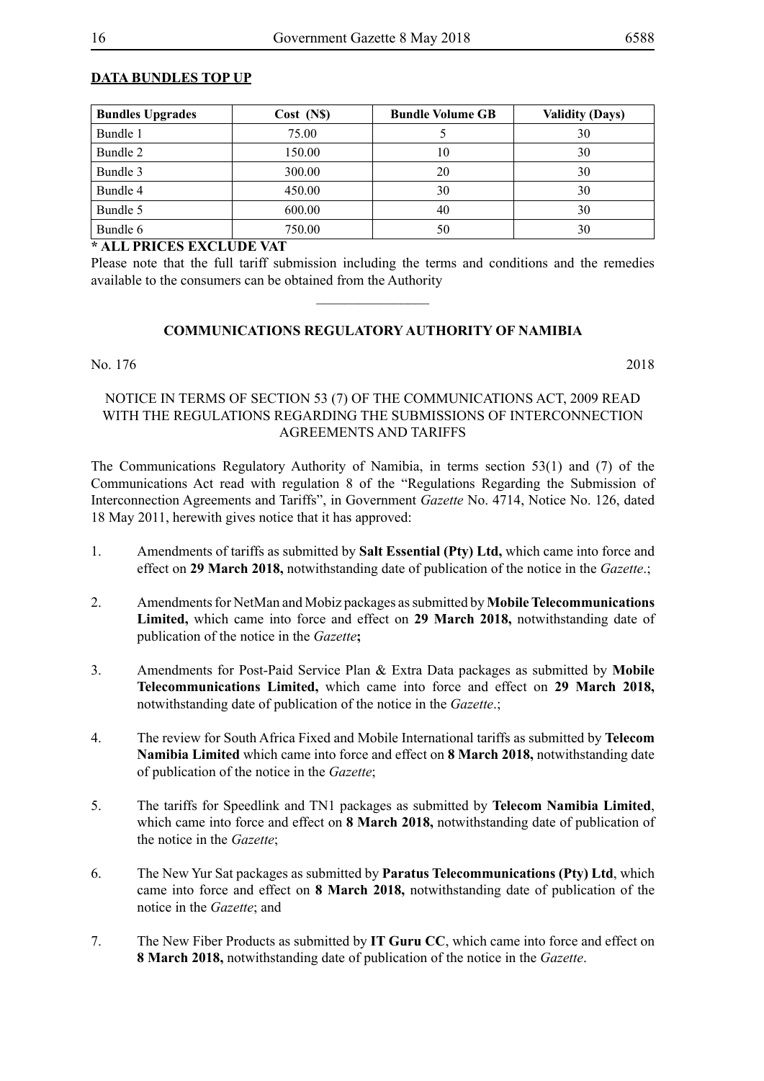# **DATA BUNDLES TOP UP**

| <b>Bundles Upgrades</b> | Cost (NS) | <b>Bundle Volume GB</b> | <b>Validity (Days)</b> |
|-------------------------|-----------|-------------------------|------------------------|
| Bundle 1                | 75.00     |                         | 30                     |
| Bundle 2                | 150.00    | 10                      | 30                     |
| Bundle 3                | 300.00    | 20                      | 30                     |
| Bundle 4                | 450.00    | 30                      | 30                     |
| Bundle 5                | 600.00    | 40                      | 30                     |
| Bundle 6                | 750.00    | 50                      | 30                     |

# **\* ALL PRICES EXCLUDE VAT**

Please note that the full tariff submission including the terms and conditions and the remedies available to the consumers can be obtained from the Authority

 $\overline{\phantom{a}}$  , where  $\overline{\phantom{a}}$ 

### **COMMUNICATIONS REGULATORY AUTHORITY OF NAMIBIA**

#### No. 176 2018

#### NOTICE IN TERMS OF SECTION 53 (7) OF THE COMMUNICATIONS ACT, 2009 READ WITH THE REGULATIONS REGARDING THE SUBMISSIONS OF INTERCONNECTION AGREEMENTS AND TARIFFS

The Communications Regulatory Authority of Namibia, in terms section 53(1) and (7) of the Communications Act read with regulation 8 of the "Regulations Regarding the Submission of Interconnection Agreements and Tariffs", in Government *Gazette* No. 4714, Notice No. 126, dated 18 May 2011, herewith gives notice that it has approved:

- 1. Amendments of tariffs as submitted by **Salt Essential (Pty) Ltd,** which came into force and effect on **29 March 2018,** notwithstanding date of publication of the notice in the *Gazette*.;
- 2. Amendments for NetMan and Mobiz packages as submitted by **Mobile Telecommunications Limited,** which came into force and effect on **29 March 2018,** notwithstanding date of publication of the notice in the *Gazette***;**
- 3. Amendments for Post-Paid Service Plan & Extra Data packages as submitted by **Mobile Telecommunications Limited,** which came into force and effect on **29 March 2018,** notwithstanding date of publication of the notice in the *Gazette*.;
- 4. The review for South Africa Fixed and Mobile International tariffs as submitted by **Telecom Namibia Limited** which came into force and effect on **8 March 2018,** notwithstanding date of publication of the notice in the *Gazette*;
- 5. The tariffs for Speedlink and TN1 packages as submitted by **Telecom Namibia Limited**, which came into force and effect on **8 March 2018,** notwithstanding date of publication of the notice in the *Gazette*;
- 6. The New Yur Sat packages as submitted by **Paratus Telecommunications (Pty) Ltd**, which came into force and effect on **8 March 2018,** notwithstanding date of publication of the notice in the *Gazette*; and
- 7. The New Fiber Products as submitted by **IT Guru CC**, which came into force and effect on **8 March 2018,** notwithstanding date of publication of the notice in the *Gazette*.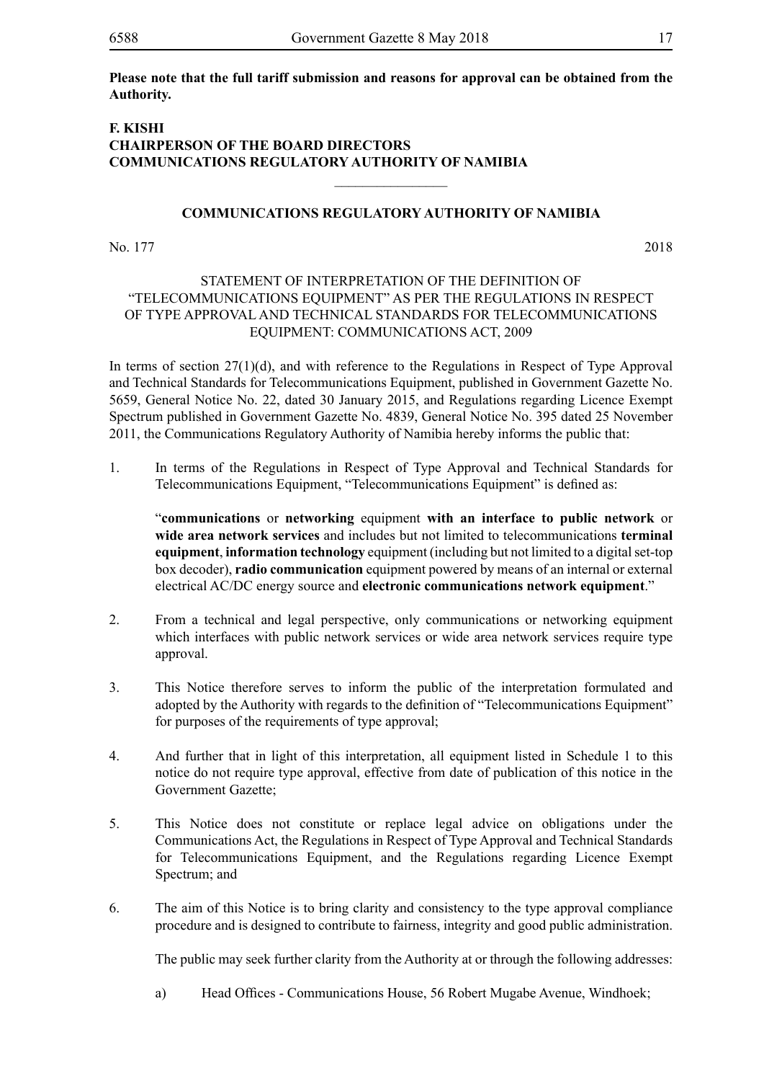**Please note that the full tariff submission and reasons for approval can be obtained from the Authority.** 

# **F. KISHI CHAIRPERSON OF THE BOARD DIRECTORS COMMUNICATIONS REGULATORY AUTHORITY OF NAMIBIA**

### **COMMUNICATIONS REGULATORY AUTHORITY OF NAMIBIA**

 $\overline{\phantom{a}}$  , where  $\overline{\phantom{a}}$ 

No. 177 2018

#### STATEMENT OF INTERPRETATION OF THE DEFINITION OF "TELECOMMUNICATIONS EQUIPMENT" AS PER THE REGULATIONS IN RESPECT OF TYPE APPROVAL AND TECHNICAL STANDARDS FOR TELECOMMUNICATIONS EQUIPMENT: COMMUNICATIONS ACT, 2009

In terms of section 27(1)(d), and with reference to the Regulations in Respect of Type Approval and Technical Standards for Telecommunications Equipment, published in Government Gazette No. 5659, General Notice No. 22, dated 30 January 2015, and Regulations regarding Licence Exempt Spectrum published in Government Gazette No. 4839, General Notice No. 395 dated 25 November 2011, the Communications Regulatory Authority of Namibia hereby informs the public that:

1. In terms of the Regulations in Respect of Type Approval and Technical Standards for Telecommunications Equipment, "Telecommunications Equipment" is defined as:

"**communications** or **networking** equipment **with an interface to public network** or **wide area network services** and includes but not limited to telecommunications **terminal equipment**, **information technology** equipment (including but not limited to a digital set-top box decoder), **radio communication** equipment powered by means of an internal or external electrical AC/DC energy source and **electronic communications network equipment**."

- 2. From a technical and legal perspective, only communications or networking equipment which interfaces with public network services or wide area network services require type approval.
- 3. This Notice therefore serves to inform the public of the interpretation formulated and adopted by the Authority with regards to the definition of "Telecommunications Equipment" for purposes of the requirements of type approval;
- 4. And further that in light of this interpretation, all equipment listed in Schedule 1 to this notice do not require type approval, effective from date of publication of this notice in the Government Gazette;
- 5. This Notice does not constitute or replace legal advice on obligations under the Communications Act, the Regulations in Respect of Type Approval and Technical Standards for Telecommunications Equipment, and the Regulations regarding Licence Exempt Spectrum; and
- 6. The aim of this Notice is to bring clarity and consistency to the type approval compliance procedure and is designed to contribute to fairness, integrity and good public administration.

The public may seek further clarity from the Authority at or through the following addresses:

a) Head Offices - Communications House, 56 Robert Mugabe Avenue, Windhoek;